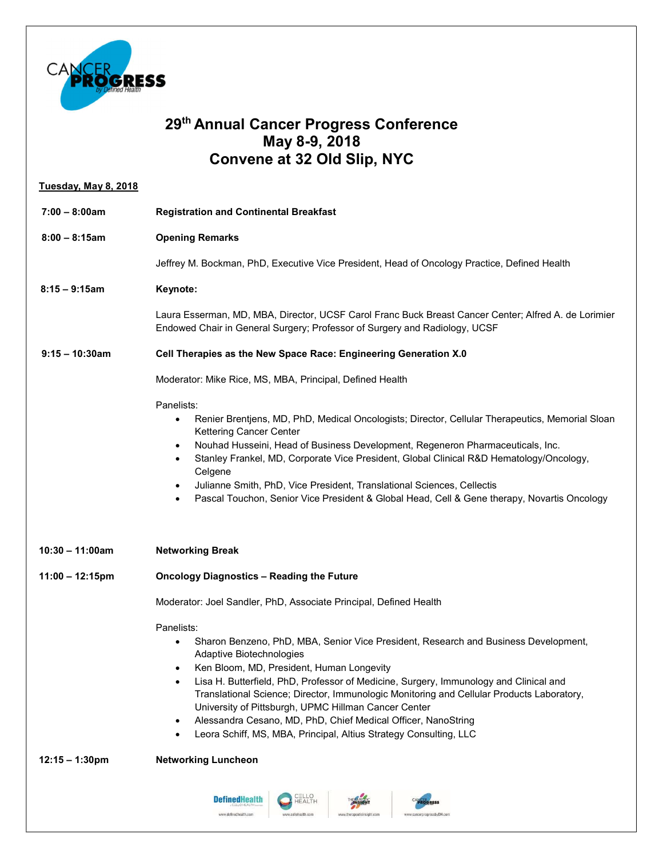

## 29th Annual Cancer Progress Conference May 8-9, 2018 Convene at 32 Old Slip, NYC

| <b>Tuesday, May 8, 2018</b> |                                                                                                                                                                                                                                                                                                                                                                                                                                                                                                                                                                               |
|-----------------------------|-------------------------------------------------------------------------------------------------------------------------------------------------------------------------------------------------------------------------------------------------------------------------------------------------------------------------------------------------------------------------------------------------------------------------------------------------------------------------------------------------------------------------------------------------------------------------------|
| $7:00 - 8:00am$             | <b>Registration and Continental Breakfast</b>                                                                                                                                                                                                                                                                                                                                                                                                                                                                                                                                 |
| $8:00 - 8:15am$             | <b>Opening Remarks</b>                                                                                                                                                                                                                                                                                                                                                                                                                                                                                                                                                        |
|                             | Jeffrey M. Bockman, PhD, Executive Vice President, Head of Oncology Practice, Defined Health                                                                                                                                                                                                                                                                                                                                                                                                                                                                                  |
| $8:15 - 9:15am$             | Keynote:                                                                                                                                                                                                                                                                                                                                                                                                                                                                                                                                                                      |
|                             | Laura Esserman, MD, MBA, Director, UCSF Carol Franc Buck Breast Cancer Center; Alfred A. de Lorimier<br>Endowed Chair in General Surgery; Professor of Surgery and Radiology, UCSF                                                                                                                                                                                                                                                                                                                                                                                            |
| $9:15 - 10:30$ am           | Cell Therapies as the New Space Race: Engineering Generation X.0                                                                                                                                                                                                                                                                                                                                                                                                                                                                                                              |
|                             | Moderator: Mike Rice, MS, MBA, Principal, Defined Health                                                                                                                                                                                                                                                                                                                                                                                                                                                                                                                      |
|                             | Panelists:<br>Renier Brentjens, MD, PhD, Medical Oncologists; Director, Cellular Therapeutics, Memorial Sloan<br>$\bullet$<br>Kettering Cancer Center<br>Nouhad Husseini, Head of Business Development, Regeneron Pharmaceuticals, Inc.<br>$\bullet$<br>Stanley Frankel, MD, Corporate Vice President, Global Clinical R&D Hematology/Oncology,<br>Celgene<br>Julianne Smith, PhD, Vice President, Translational Sciences, Cellectis<br>$\bullet$<br>Pascal Touchon, Senior Vice President & Global Head, Cell & Gene therapy, Novartis Oncology<br>$\bullet$                 |
| $10:30 - 11:00am$           | <b>Networking Break</b>                                                                                                                                                                                                                                                                                                                                                                                                                                                                                                                                                       |
| $11:00 - 12:15$ pm          | <b>Oncology Diagnostics - Reading the Future</b>                                                                                                                                                                                                                                                                                                                                                                                                                                                                                                                              |
|                             | Moderator: Joel Sandler, PhD, Associate Principal, Defined Health                                                                                                                                                                                                                                                                                                                                                                                                                                                                                                             |
|                             | Panelists:<br>Sharon Benzeno, PhD, MBA, Senior Vice President, Research and Business Development,<br>Adaptive Biotechnologies<br>Ken Bloom, MD, President, Human Longevity<br>Lisa H. Butterfield, PhD, Professor of Medicine, Surgery, Immunology and Clinical and<br>٠<br>Translational Science; Director, Immunologic Monitoring and Cellular Products Laboratory,<br>University of Pittsburgh, UPMC Hillman Cancer Center<br>Alessandra Cesano, MD, PhD, Chief Medical Officer, NanoString<br>٠<br>Leora Schiff, MS, MBA, Principal, Altius Strategy Consulting, LLC<br>٠ |
| $12:15 - 1:30$ pm           | <b>Networking Luncheon</b>                                                                                                                                                                                                                                                                                                                                                                                                                                                                                                                                                    |
|                             | CELLO<br>HEALTH<br><b>DefinedHealth</b><br>www.definedhealth.com<br>www.cellohealth.com<br>www.therapeuticinsight.con<br>www.cancerprogressbyDH.com                                                                                                                                                                                                                                                                                                                                                                                                                           |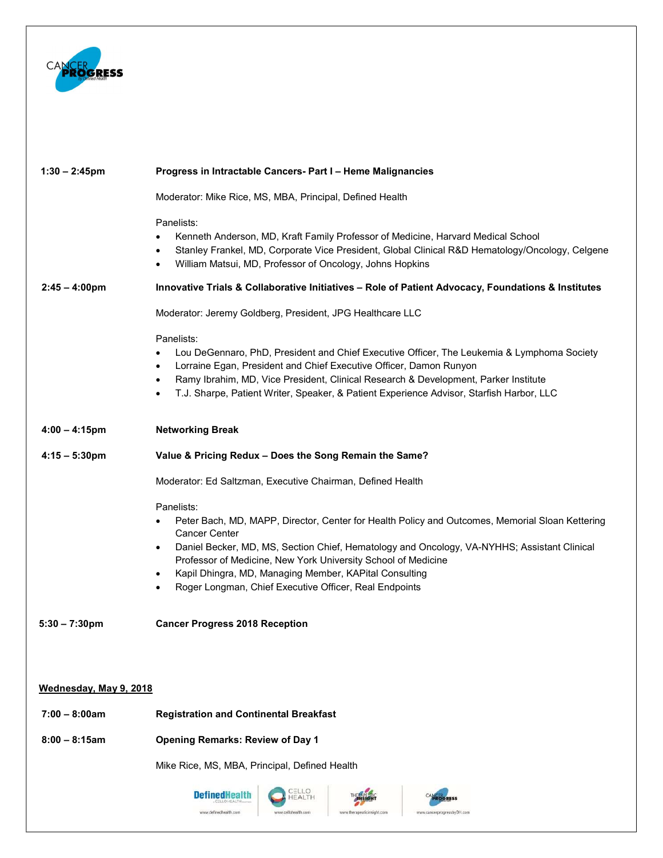

| $1:30 - 2:45$ pm        | Progress in Intractable Cancers- Part I - Heme Malignancies                                                                                                                                                                                                                                                                                                                                                                                                                   |
|-------------------------|-------------------------------------------------------------------------------------------------------------------------------------------------------------------------------------------------------------------------------------------------------------------------------------------------------------------------------------------------------------------------------------------------------------------------------------------------------------------------------|
|                         | Moderator: Mike Rice, MS, MBA, Principal, Defined Health                                                                                                                                                                                                                                                                                                                                                                                                                      |
| $2:45 - 4:00 \text{pm}$ | Panelists:<br>Kenneth Anderson, MD, Kraft Family Professor of Medicine, Harvard Medical School<br>Stanley Frankel, MD, Corporate Vice President, Global Clinical R&D Hematology/Oncology, Celgene<br>$\bullet$<br>William Matsui, MD, Professor of Oncology, Johns Hopkins<br>$\bullet$<br>Innovative Trials & Collaborative Initiatives - Role of Patient Advocacy, Foundations & Institutes                                                                                 |
|                         | Moderator: Jeremy Goldberg, President, JPG Healthcare LLC                                                                                                                                                                                                                                                                                                                                                                                                                     |
|                         | Panelists:<br>Lou DeGennaro, PhD, President and Chief Executive Officer, The Leukemia & Lymphoma Society<br>$\bullet$<br>Lorraine Egan, President and Chief Executive Officer, Damon Runyon<br>$\bullet$<br>Ramy Ibrahim, MD, Vice President, Clinical Research & Development, Parker Institute<br>$\bullet$<br>T.J. Sharpe, Patient Writer, Speaker, & Patient Experience Advisor, Starfish Harbor, LLC<br>$\bullet$                                                         |
| $4:00 - 4:15$ pm        | <b>Networking Break</b>                                                                                                                                                                                                                                                                                                                                                                                                                                                       |
| $4:15 - 5:30 \text{pm}$ | Value & Pricing Redux - Does the Song Remain the Same?                                                                                                                                                                                                                                                                                                                                                                                                                        |
|                         | Moderator: Ed Saltzman, Executive Chairman, Defined Health                                                                                                                                                                                                                                                                                                                                                                                                                    |
|                         | Panelists:<br>Peter Bach, MD, MAPP, Director, Center for Health Policy and Outcomes, Memorial Sloan Kettering<br>$\bullet$<br><b>Cancer Center</b><br>Daniel Becker, MD, MS, Section Chief, Hematology and Oncology, VA-NYHHS; Assistant Clinical<br>$\bullet$<br>Professor of Medicine, New York University School of Medicine<br>Kapil Dhingra, MD, Managing Member, KAPital Consulting<br>$\bullet$<br>Roger Longman, Chief Executive Officer, Real Endpoints<br>$\bullet$ |
| $5:30 - 7:30$ pm        | <b>Cancer Progress 2018 Reception</b>                                                                                                                                                                                                                                                                                                                                                                                                                                         |
|                         |                                                                                                                                                                                                                                                                                                                                                                                                                                                                               |
| Wednesday, May 9, 2018  |                                                                                                                                                                                                                                                                                                                                                                                                                                                                               |
| $7:00 - 8:00am$         | <b>Registration and Continental Breakfast</b>                                                                                                                                                                                                                                                                                                                                                                                                                                 |
| $8:00 - 8:15am$         | <b>Opening Remarks: Review of Day 1</b>                                                                                                                                                                                                                                                                                                                                                                                                                                       |
|                         | Mike Rice, MS, MBA, Principal, Defined Health                                                                                                                                                                                                                                                                                                                                                                                                                                 |
|                         | ELLO<br><b>Defined lealth</b><br>HEALTH<br><b>RESS</b><br>www.definedhealth.com<br>www.callohealth.cor<br>www.therapeuticinsight.com<br>www.cancerprogressbyDH.con                                                                                                                                                                                                                                                                                                            |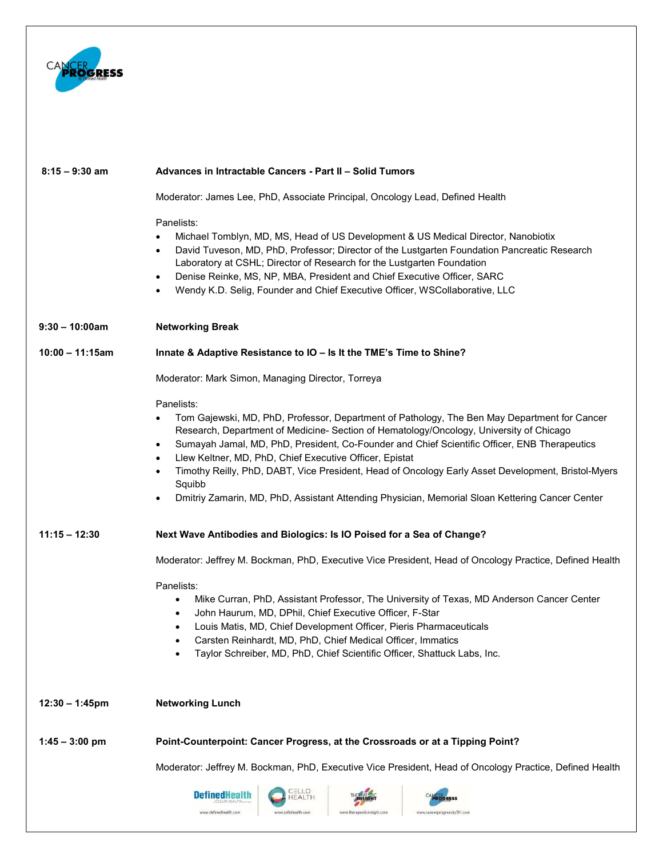

| $8:15 - 9:30$ am  | Advances in Intractable Cancers - Part II - Solid Tumors                                                                                                                                                                                                                                                                                                                                                                                                                                                                                                                                                                                |
|-------------------|-----------------------------------------------------------------------------------------------------------------------------------------------------------------------------------------------------------------------------------------------------------------------------------------------------------------------------------------------------------------------------------------------------------------------------------------------------------------------------------------------------------------------------------------------------------------------------------------------------------------------------------------|
|                   | Moderator: James Lee, PhD, Associate Principal, Oncology Lead, Defined Health                                                                                                                                                                                                                                                                                                                                                                                                                                                                                                                                                           |
|                   | Panelists:<br>Michael Tomblyn, MD, MS, Head of US Development & US Medical Director, Nanobiotix<br>David Tuveson, MD, PhD, Professor; Director of the Lustgarten Foundation Pancreatic Research<br>$\bullet$<br>Laboratory at CSHL; Director of Research for the Lustgarten Foundation<br>Denise Reinke, MS, NP, MBA, President and Chief Executive Officer, SARC<br>$\bullet$<br>Wendy K.D. Selig, Founder and Chief Executive Officer, WSCollaborative, LLC<br>$\bullet$                                                                                                                                                              |
| $9:30 - 10:00am$  | <b>Networking Break</b>                                                                                                                                                                                                                                                                                                                                                                                                                                                                                                                                                                                                                 |
| $10:00 - 11:15am$ | Innate & Adaptive Resistance to IO - Is It the TME's Time to Shine?                                                                                                                                                                                                                                                                                                                                                                                                                                                                                                                                                                     |
|                   | Moderator: Mark Simon, Managing Director, Torreya                                                                                                                                                                                                                                                                                                                                                                                                                                                                                                                                                                                       |
|                   | Panelists:<br>Tom Gajewski, MD, PhD, Professor, Department of Pathology, The Ben May Department for Cancer<br>Research, Department of Medicine- Section of Hematology/Oncology, University of Chicago<br>Sumayah Jamal, MD, PhD, President, Co-Founder and Chief Scientific Officer, ENB Therapeutics<br>$\bullet$<br>Llew Keltner, MD, PhD, Chief Executive Officer, Epistat<br>$\bullet$<br>Timothy Reilly, PhD, DABT, Vice President, Head of Oncology Early Asset Development, Bristol-Myers<br>$\bullet$<br>Squibb<br>Dmitriy Zamarin, MD, PhD, Assistant Attending Physician, Memorial Sloan Kettering Cancer Center<br>$\bullet$ |
| $11:15 - 12:30$   | Next Wave Antibodies and Biologics: Is IO Poised for a Sea of Change?                                                                                                                                                                                                                                                                                                                                                                                                                                                                                                                                                                   |
|                   | Moderator: Jeffrey M. Bockman, PhD, Executive Vice President, Head of Oncology Practice, Defined Health                                                                                                                                                                                                                                                                                                                                                                                                                                                                                                                                 |
|                   | Panelists:<br>Mike Curran, PhD, Assistant Professor, The University of Texas, MD Anderson Cancer Center<br>$\bullet$<br>John Haurum, MD, DPhil, Chief Executive Officer, F-Star<br>Louis Matis, MD, Chief Development Officer, Pieris Pharmaceuticals<br>Carsten Reinhardt, MD, PhD, Chief Medical Officer, Immatics<br>Taylor Schreiber, MD, PhD, Chief Scientific Officer, Shattuck Labs, Inc.                                                                                                                                                                                                                                        |
| $12:30 - 1:45$ pm | <b>Networking Lunch</b>                                                                                                                                                                                                                                                                                                                                                                                                                                                                                                                                                                                                                 |
| $1:45 - 3:00$ pm  | Point-Counterpoint: Cancer Progress, at the Crossroads or at a Tipping Point?                                                                                                                                                                                                                                                                                                                                                                                                                                                                                                                                                           |
|                   | Moderator: Jeffrey M. Bockman, PhD, Executive Vice President, Head of Oncology Practice, Defined Health                                                                                                                                                                                                                                                                                                                                                                                                                                                                                                                                 |
|                   | <b>CELLO<br/>HEALTH</b><br><b>DefinedHealth</b>                                                                                                                                                                                                                                                                                                                                                                                                                                                                                                                                                                                         |
|                   | www.definedhealth.com<br>www.cellohealth.com<br>www.cancerprogressbyDH.con                                                                                                                                                                                                                                                                                                                                                                                                                                                                                                                                                              |